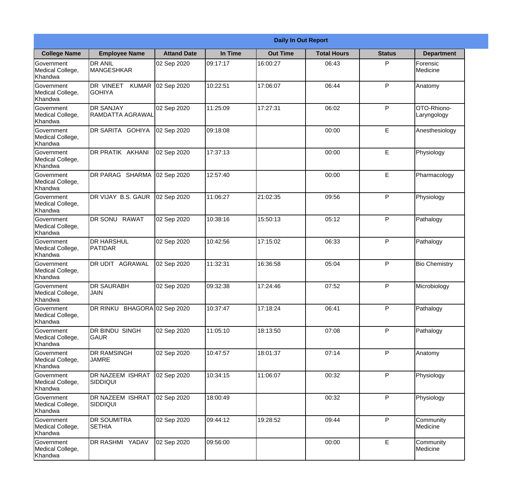|                                           |                                             |                    |          | <b>Daily In Out Report</b> |                    |               |                            |
|-------------------------------------------|---------------------------------------------|--------------------|----------|----------------------------|--------------------|---------------|----------------------------|
| <b>College Name</b>                       | <b>Employee Name</b>                        | <b>Attand Date</b> | In Time  | <b>Out Time</b>            | <b>Total Hours</b> | <b>Status</b> | <b>Department</b>          |
| Government<br>Medical College,<br>Khandwa | <b>DR ANIL</b><br>MANGESHKAR                | 02 Sep 2020        | 09:17:17 | 16:00:27                   | 06:43              | P             | Forensic<br>Medicine       |
| Government<br>Medical College,<br>Khandwa | DR VINEET<br><b>KUMAR</b><br><b>GOHIYA</b>  | 02 Sep 2020        | 10:22:51 | 17:06:07                   | 06:44              | P             | Anatomy                    |
| Government<br>Medical College,<br>Khandwa | <b>DR SANJAY</b><br><b>RAMDATTA AGRAWAL</b> | 02 Sep 2020        | 11:25:09 | 17:27:31                   | 06:02              | P             | OTO-Rhiono-<br>Laryngology |
| Government<br>Medical College,<br>Khandwa | DR SARITA GOHIYA                            | 02 Sep 2020        | 09:18:08 |                            | 00:00              | E             | Anesthesiology             |
| Government<br>Medical College,<br>Khandwa | DR PRATIK AKHANI                            | 02 Sep 2020        | 17:37:13 |                            | 00:00              | E             | Physiology                 |
| Government<br>Medical College,<br>Khandwa | DR PARAG SHARMA                             | 02 Sep 2020        | 12:57:40 |                            | 00:00              | E             | Pharmacology               |
| Government<br>Medical College,<br>Khandwa | DR VIJAY B.S. GAUR                          | 02 Sep 2020        | 11:06:27 | 21:02:35                   | 09:56              | P             | Physiology                 |
| Government<br>Medical College,<br>Khandwa | <b>DR SONU RAWAT</b>                        | 02 Sep 2020        | 10:38:16 | 15:50:13                   | 05:12              | P             | Pathalogy                  |
| Government<br>Medical College,<br>Khandwa | <b>DR HARSHUL</b><br>PATIDAR                | 02 Sep 2020        | 10:42:56 | 17:15:02                   | 06:33              | P             | Pathalogy                  |
| Government<br>Medical College,<br>Khandwa | DR UDIT AGRAWAL                             | 02 Sep 2020        | 11:32:31 | 16:36:58                   | 05:04              | P             | <b>Bio Chemistry</b>       |
| Government<br>Medical College,<br>Khandwa | <b>DR SAURABH</b><br><b>JAIN</b>            | 02 Sep 2020        | 09:32:38 | 17:24:46                   | 07:52              | $\mathsf{P}$  | Microbiology               |
| Government<br>Medical College,<br>Khandwa | DR RINKU BHAGORA 02 Sep 2020                |                    | 10:37:47 | 17:18:24                   | 06:41              | P             | Pathalogy                  |
| Government<br>Medical College,<br>Khandwa | DR BINDU SINGH<br>GAUR                      | 02 Sep 2020        | 11:05:10 | 18:13:50                   | 07:08              | P             | Pathalogy                  |
| Government<br>Medical College,<br>Khandwa | DR RAMSINGH<br><b>JAMRE</b>                 | 02 Sep 2020        | 10:47:57 | 18:01:37                   | 07:14              | $\mathsf{P}$  | Anatomy                    |
| Government<br>Medical College,<br>Khandwa | DR NAZEEM ISHRAT<br><b>SIDDIQUI</b>         | 02 Sep 2020        | 10:34:15 | 11:06:07                   | 00:32              | $\mathsf{P}$  | Physiology                 |
| Government<br>Medical College,<br>Khandwa | DR NAZEEM ISHRAT<br><b>SIDDIQUI</b>         | 02 Sep 2020        | 18:00:49 |                            | 00:32              | P             | Physiology                 |
| Government<br>Medical College,<br>Khandwa | DR SOUMITRA<br><b>SETHIA</b>                | 02 Sep 2020        | 09:44:12 | 19:28:52                   | 09:44              | P             | Community<br>Medicine      |
| Government<br>Medical College,<br>Khandwa | DR RASHMI YADAV                             | 02 Sep 2020        | 09:56:00 |                            | 00:00              | E             | Community<br>Medicine      |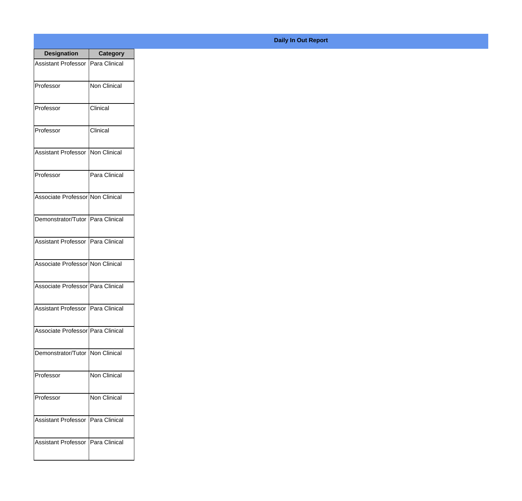| <b>Designation</b>                  | <b>Category</b> |
|-------------------------------------|-----------------|
| <b>Assistant Professor</b>          | Para Clinical   |
| Professor                           | Non Clinical    |
| Professor                           | Clinical        |
| Professor                           | Clinical        |
| <b>Assistant Professor</b>          | Non Clinical    |
| Professor                           | Para Clinical   |
| Associate Professor Non Clinical    |                 |
| Demonstrator/Tutor   Para Clinical  |                 |
| Assistant Professor   Para Clinical |                 |
| Associate Professor Non Clinical    |                 |
| Associate Professor Para Clinical   |                 |
| Assistant Professor   Para Clinical |                 |
| Associate Professor   Para Clinical |                 |
| Demonstrator/Tutor   Non Clinical   |                 |
| Professor                           | Non Clinical    |
| Professor                           | Non Clinical    |
| <b>Assistant Professor</b>          | Para Clinical   |
| <b>Assistant Professor</b>          | Para Clinical   |

## **Daily In Out Report**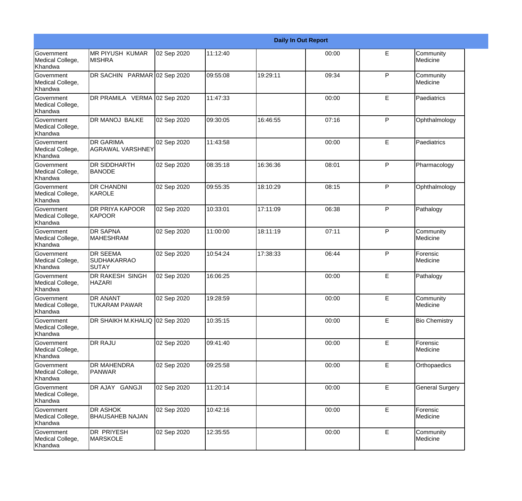|                                                         |                                                |             |          |          | <b>Daily In Out Report</b> |              |                        |
|---------------------------------------------------------|------------------------------------------------|-------------|----------|----------|----------------------------|--------------|------------------------|
| Government<br>Medical College,<br>Khandwa               | <b>MR PIYUSH KUMAR</b><br><b>MISHRA</b>        | 02 Sep 2020 | 11:12:40 |          | 00:00                      | E            | Community<br>Medicine  |
| <b>Government</b><br>Medical College,<br>Khandwa        | DR SACHIN PARMAR 02 Sep 2020                   |             | 09:55:08 | 19:29:11 | 09:34                      | $\mathsf{P}$ | Community<br>Medicine  |
| <b>Government</b><br>Medical College,<br>Khandwa        | DR PRAMILA VERMA 02 Sep 2020                   |             | 11:47:33 |          | 00:00                      | E            | Paediatrics            |
| <b>Government</b><br>Medical College,<br>Khandwa        | <b>DR MANOJ BALKE</b>                          | 02 Sep 2020 | 09:30:05 | 16:46:55 | 07:16                      | $\mathsf{P}$ | Ophthalmology          |
| Government<br>Medical College,<br>Khandwa               | <b>DR GARIMA</b><br><b>AGRAWAL VARSHNEY</b>    | 02 Sep 2020 | 11:43:58 |          | 00:00                      | E            | Paediatrics            |
| <b>Government</b><br>Medical College,<br><b>Khandwa</b> | <b>DR SIDDHARTH</b><br><b>BANODE</b>           | 02 Sep 2020 | 08:35:18 | 16:36:36 | 08:01                      | $\mathsf{P}$ | Pharmacology           |
| Government<br>Medical College,<br>Khandwa               | <b>DR CHANDNI</b><br><b>IKAROLE</b>            | 02 Sep 2020 | 09:55:35 | 18:10:29 | 08:15                      | P            | Ophthalmology          |
| Government<br>Medical College,<br>Khandwa               | <b>DR PRIYA KAPOOR</b><br>KAPOOR               | 02 Sep 2020 | 10:33:01 | 17:11:09 | 06:38                      | P            | Pathalogy              |
| Government<br>Medical College,<br>Khandwa               | <b>DR SAPNA</b><br><b>MAHESHRAM</b>            | 02 Sep 2020 | 11:00:00 | 18:11:19 | 07:11                      | $\mathsf{P}$ | Community<br>Medicine  |
| <b>Government</b><br>Medical College,<br>Khandwa        | <b>DR SEEMA</b><br><b>SUDHAKARRAO</b><br>SUTAY | 02 Sep 2020 | 10:54:24 | 17:38:33 | 06:44                      | P            | Forensic<br>Medicine   |
| <b>Government</b><br>Medical College,<br>Khandwa        | <b>DR RAKESH SINGH</b><br><b>HAZARI</b>        | 02 Sep 2020 | 16:06:25 |          | 00:00                      | E            | Pathalogy              |
| Government<br>Medical College,<br>Khandwa               | <b>DR ANANT</b><br><b>TUKARAM PAWAR</b>        | 02 Sep 2020 | 19:28:59 |          | 00:00                      | E            | Community<br>Medicine  |
| Government<br>Medical College,<br>Khandwa               | DR SHAIKH M.KHALIQ 02 Sep 2020                 |             | 10:35:15 |          | 00:00                      | E            | <b>Bio Chemistry</b>   |
| Government<br>Medical College,<br>Khandwa               | DR RAJU                                        | 02 Sep 2020 | 09:41:40 |          | 00:00                      | E            | Forensic<br>Medicine   |
| Government<br>Medical College,<br>Khandwa               | <b>DR MAHENDRA</b><br><b>PANWAR</b>            | 02 Sep 2020 | 09:25:58 |          | 00:00                      | E            | Orthopaedics           |
| Government<br>Medical College,<br>Khandwa               | DR AJAY GANGJI                                 | 02 Sep 2020 | 11:20:14 |          | 00:00                      | E            | <b>General Surgery</b> |
| Government<br>Medical College,<br>Khandwa               | DR ASHOK<br><b>BHAUSAHEB NAJAN</b>             | 02 Sep 2020 | 10:42:16 |          | 00:00                      | E            | Forensic<br>Medicine   |
| Government<br>Medical College,<br>Khandwa               | DR PRIYESH<br><b>MARSKOLE</b>                  | 02 Sep 2020 | 12:35:55 |          | 00:00                      | E            | Community<br>Medicine  |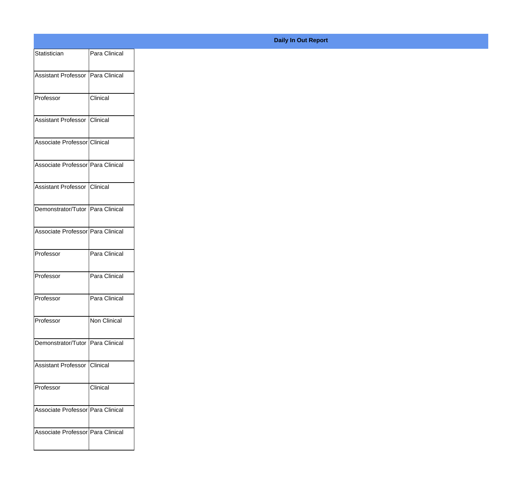| Statistician                        | Para Clinical |
|-------------------------------------|---------------|
| Assistant Professor Para Clinical   |               |
|                                     |               |
| Professor                           | Clinical      |
| Assistant Professor Clinical        |               |
| Associate Professor Clinical        |               |
| Associate Professor Para Clinical   |               |
|                                     |               |
| Assistant Professor Clinical        |               |
| Demonstrator/Tutor Para Clinical    |               |
| Associate Professor Para Clinical   |               |
|                                     |               |
| Professor                           | Para Clinical |
| Professor                           | Para Clinical |
| Professor                           | Para Clinical |
|                                     |               |
| Professor                           | Non Clinical  |
| Demonstrator/Tutor Para Clinical    |               |
| Assistant Professor Clinical        |               |
|                                     |               |
| Professor                           | Clinical      |
| Associate Professor   Para Clinical |               |
| Associate Professor Para Clinical   |               |
|                                     |               |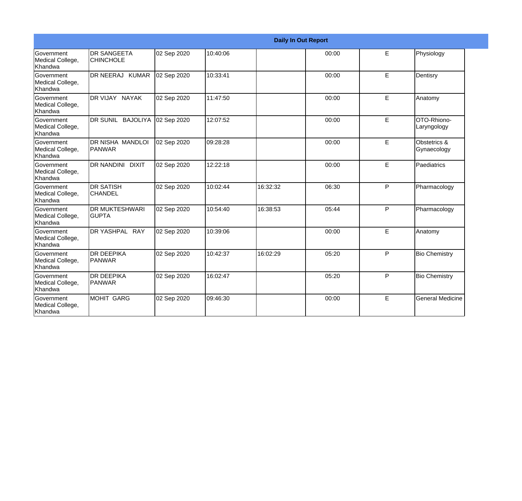|                                                  |                                        |             |          |          | <b>Daily In Out Report</b> |   |                             |
|--------------------------------------------------|----------------------------------------|-------------|----------|----------|----------------------------|---|-----------------------------|
| <b>Government</b><br>Medical College,<br>Khandwa | <b>DR SANGEETA</b><br><b>CHINCHOLE</b> | 02 Sep 2020 | 10:40:06 |          | 00:00                      | E | Physiology                  |
| <b>Government</b><br>Medical College,<br>Khandwa | DR NEERAJ KUMAR                        | 02 Sep 2020 | 10:33:41 |          | 00:00                      | E | Dentisry                    |
| Government<br>Medical College,<br>Khandwa        | DR VIJAY NAYAK                         | 02 Sep 2020 | 11:47:50 |          | 00:00                      | E | Anatomy                     |
| Government<br>Medical College,<br>Khandwa        | DR SUNIL BAJOLIYA                      | 02 Sep 2020 | 12:07:52 |          | 00:00                      | E | OTO-Rhiono-<br>Laryngology  |
| Government<br>Medical College,<br>Khandwa        | DR NISHA MANDLOI<br><b>PANWAR</b>      | 02 Sep 2020 | 09:28:28 |          | 00:00                      | E | Obstetrics &<br>Gynaecology |
| Government<br>Medical College,<br>Khandwa        | DR NANDINI DIXIT                       | 02 Sep 2020 | 12:22:18 |          | 00:00                      | E | Paediatrics                 |
| <b>Government</b><br>Medical College,<br>Khandwa | <b>DR SATISH</b><br><b>CHANDEL</b>     | 02 Sep 2020 | 10:02:44 | 16:32:32 | 06:30                      | P | Pharmacology                |
| Government<br>Medical College,<br><b>Khandwa</b> | DR MUKTESHWARI<br><b>GUPTA</b>         | 02 Sep 2020 | 10:54:40 | 16:38:53 | 05:44                      | P | Pharmacology                |
| <b>Government</b><br>Medical College,<br>Khandwa | DR YASHPAL RAY                         | 02 Sep 2020 | 10:39:06 |          | 00:00                      | E | Anatomy                     |
| Government<br>Medical College,<br>Khandwa        | <b>DR DEEPIKA</b><br><b>PANWAR</b>     | 02 Sep 2020 | 10:42:37 | 16:02:29 | 05:20                      | P | <b>Bio Chemistry</b>        |
| Government<br>Medical College,<br>Khandwa        | <b>DR DEEPIKA</b><br><b>PANWAR</b>     | 02 Sep 2020 | 16:02:47 |          | 05:20                      | P | <b>Bio Chemistry</b>        |
| <b>Government</b><br>Medical College,<br>Khandwa | <b>MOHIT GARG</b>                      | 02 Sep 2020 | 09:46:30 |          | 00:00                      | E | <b>General Medicine</b>     |